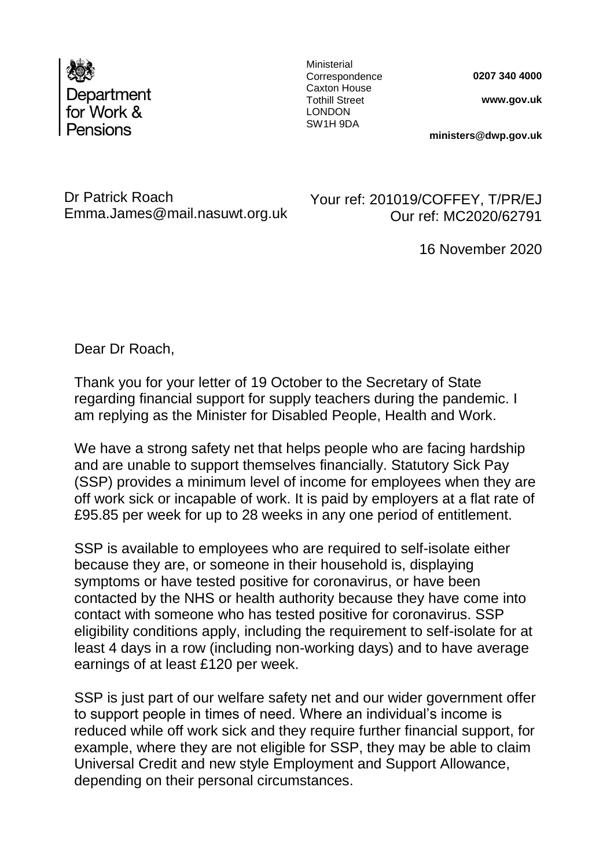

Ministerial **Correspondence** Caxton House Tothill Street LONDON SW1H 9DA

**0207 340 4000**

**www.gov.uk** 

**ministers@dwp.gov.uk**

Dr Patrick Roach Emma.James@mail.nasuwt.org.uk

Your ref: 201019/COFFEY, T/PR/EJ Our ref: MC2020/62791

16 November 2020

Dear Dr Roach,

Thank you for your letter of 19 October to the Secretary of State regarding financial support for supply teachers during the pandemic. I am replying as the Minister for Disabled People, Health and Work.

We have a strong safety net that helps people who are facing hardship and are unable to support themselves financially. Statutory Sick Pay (SSP) provides a minimum level of income for employees when they are off work sick or incapable of work. It is paid by employers at a flat rate of £95.85 per week for up to 28 weeks in any one period of entitlement.

SSP is available to employees who are required to self-isolate either because they are, or someone in their household is, displaying symptoms or have tested positive for coronavirus, or have been contacted by the NHS or health authority because they have come into contact with someone who has tested positive for coronavirus. SSP eligibility conditions apply, including the requirement to self-isolate for at least 4 days in a row (including non-working days) and to have average earnings of at least £120 per week.

SSP is just part of our welfare safety net and our wider government offer to support people in times of need. Where an individual's income is reduced while off work sick and they require further financial support, for example, where they are not eligible for SSP, they may be able to claim Universal Credit and new style Employment and Support Allowance, depending on their personal circumstances.